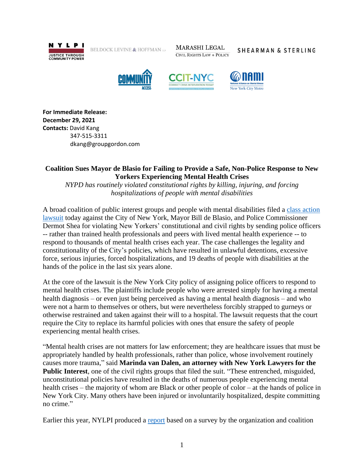

BELDOCK LEVINE  $\&$  HOFFMAN  $\scriptstyle\rm LL}$ 

**MARASHI LEGAL CIVIL RIGHTS LAW + POLICY** 

SHEARMAN & STERLING







**For Immediate Release: December 29, 2021 Contacts:** David Kang 347-515-3311 dkang@groupgordon.com

# **Coalition Sues Mayor de Blasio for Failing to Provide a Safe, Non-Police Response to New Yorkers Experiencing Mental Health Crises**

*NYPD has routinely violated constitutional rights by killing, injuring, and forcing hospitalizations of people with mental disabilities*

A broad coalition of public interest groups and people with mental disabilities filed a [class action](https://www.nylpi.org/wp-content/uploads/2021/12/Class-Action-Complaint_Baerga-v.-City-of-New-York.pdf)  [lawsuit](https://www.nylpi.org/wp-content/uploads/2021/12/Class-Action-Complaint_Baerga-v.-City-of-New-York.pdf) today against the City of New York, Mayor Bill de Blasio, and Police Commissioner Dermot Shea for violating New Yorkers' constitutional and civil rights by sending police officers -- rather than trained health professionals and peers with lived mental health experience -- to respond to thousands of mental health crises each year. The case challenges the legality and constitutionality of the City's policies, which have resulted in unlawful detentions, excessive force, serious injuries, forced hospitalizations, and 19 deaths of people with disabilities at the hands of the police in the last six years alone.

At the core of the lawsuit is the New York City policy of assigning police officers to respond to mental health crises. The plaintiffs include people who were arrested simply for having a mental health diagnosis – or even just being perceived as having a mental health diagnosis – and who were not a harm to themselves or others, but were nevertheless forcibly strapped to gurneys or otherwise restrained and taken against their will to a hospital. The lawsuit requests that the court require the City to replace its harmful policies with ones that ensure the safety of people experiencing mental health crises.

"Mental health crises are not matters for law enforcement; they are healthcare issues that must be appropriately handled by health professionals, rather than police, whose involvement routinely causes more trauma," said **Marinda van Dalen, an attorney with New York Lawyers for the Public Interest**, one of the civil rights groups that filed the suit. "These entrenched, misguided, unconstitutional policies have resulted in the deaths of numerous people experiencing mental health crises – the majority of whom are Black or other people of color – at the hands of police in New York City. Many others have been injured or involuntarily hospitalized, despite committing no crime."

Earlier this year, NYLPI produced a [report](https://www.nylpi.org/saving-lives-reducing-trauma-removing-police-from-nycs-mental-health-crisis-response/) based on a survey by the organization and coalition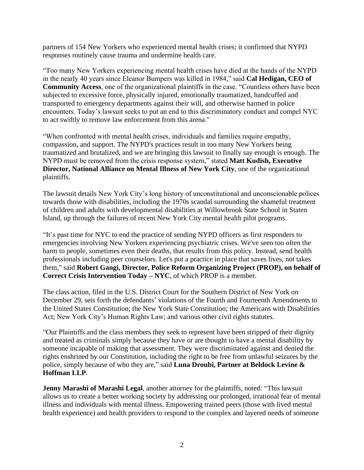partners of 154 New Yorkers who experienced mental health crises; it confirmed that NYPD responses routinely cause trauma and undermine health care.

"Too many New Yorkers experiencing mental health crises have died at the hands of the NYPD in the nearly 40 years since Eleanor Bumpers was killed in 1984," said **Cal Hedigan, CEO of Community Access**, one of the organizational plaintiffs in the case. "Countless others have been subjected to excessive force, physically injured, emotionally traumatized, handcuffed and transported to emergency departments against their will, and otherwise harmed in police encounters. Today's lawsuit seeks to put an end to this discriminatory conduct and compel NYC to act swiftly to remove law enforcement from this arena."

"When confronted with mental health crises, individuals and families require empathy, compassion, and support. The NYPD's practices result in too many New Yorkers being traumatized and brutalized, and we are bringing this lawsuit to finally say enough is enough. The NYPD must be removed from the crisis response system," stated **Matt Kudish, Executive Director, National Alliance on Mental Illness of New York City**, one of the organizational plaintiffs.

The lawsuit details New York City's long history of unconstitutional and unconscionable polices towards those with disabilities, including the 1970s scandal surrounding the shameful treatment of children and adults with developmental disabilities at Willowbrook State School in Staten Island, up through the failures of recent New York City mental health pilot programs.

"It's past time for NYC to end the practice of sending NYPD officers as first responders to emergencies involving New Yorkers experiencing psychiatric crises. We've seen too often the harm to people, sometimes even their deaths, that results from this policy. Instead, send health professionals including peer counselors. Let's put a practice in place that saves lives, not takes them," said **Robert Gangi, Director, Police Reform Organizing Project (PROP), on behalf of Correct Crisis Intervention Today – NYC**, of which PROP is a member.

The class action, filed in the U.S. District Court for the Southern District of New York on December 29, sets forth the defendants' violations of the Fourth and Fourteenth Amendments to the United States Constitution; the New York State Constitution; the Americans with Disabilities Act; New York City's Human Rights Law; and various other civil rights statutes.

"Our Plaintiffs and the class members they seek to represent have been stripped of their dignity and treated as criminals simply because they have or are thought to have a mental disability by someone incapable of making that assessment. They were discriminated against and denied the rights enshrined by our Constitution, including the right to be free from unlawful seizures by the police, simply because of who they are," said **Luna Droubi, Partner at Beldock Levine & Hoffman LLP**.

**Jenny Marashi of Marashi Legal**, another attorney for the plaintiffs, noted: "This lawsuit allows us to create a better working society by addressing our prolonged, irrational fear of mental illness and individuals with mental illness. Empowering trained peers (those with lived mental health experience) and health providers to respond to the complex and layered needs of someone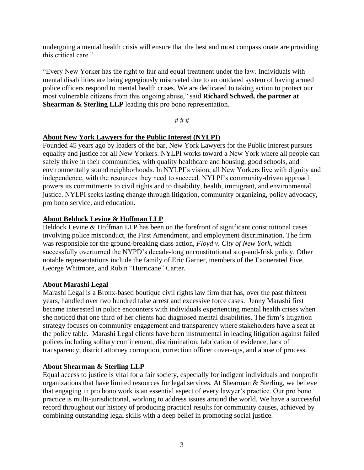undergoing a mental health crisis will ensure that the best and most compassionate are providing this critical care."

"Every New Yorker has the right to fair and equal treatment under the law. Individuals with mental disabilities are being egregiously mistreated due to an outdated system of having armed police officers respond to mental health crises. We are dedicated to taking action to protect our most vulnerable citizens from this ongoing abuse," said **Richard Schwed, the partner at Shearman & Sterling LLP** leading this pro bono representation.

# # #

# **About New York Lawyers for the Public Interest (NYLPI)**

Founded 45 years ago by leaders of the bar, New York Lawyers for the Public Interest pursues equality and justice for all New Yorkers. NYLPI works toward a New York where all people can safely thrive in their communities, with quality healthcare and housing, good schools, and environmentally sound neighborhoods. In NYLPI's vision, all New Yorkers live with dignity and independence, with the resources they need to succeed. NYLPI's community-driven approach powers its commitments to civil rights and to disability, health, immigrant, and environmental justice. NYLPI seeks lasting change through litigation, community organizing, policy advocacy, pro bono service, and education.

# **About Beldock Levine & Hoffman LLP**

Beldock Levine & Hoffman LLP has been on the forefront of significant constitutional cases involving police misconduct, the First Amendment, and employment discrimination. The firm was responsible for the ground-breaking class action, *Floyd v. City of New York*, which successfully overturned the NYPD's decade-long unconstitutional stop-and-frisk policy. Other notable representations include the family of Eric Garner, members of the Exonerated Five, George Whitmore, and Rubin "Hurricane" Carter.

# **About Marashi Legal**

Marashi Legal is a Bronx-based boutique civil rights law firm that has, over the past thirteen years, handled over two hundred false arrest and excessive force cases. Jenny Marashi first became interested in police encounters with individuals experiencing mental health crises when she noticed that one third of her clients had diagnosed mental disabilities. The firm's litigation strategy focuses on community engagement and transparency where stakeholders have a seat at the policy table. Marashi Legal clients have been instrumental in leading litigation against failed polices including solitary confinement, discrimination, fabrication of evidence, lack of transparency, district attorney corruption, correction officer cover-ups, and abuse of process.

#### **About Shearman & Sterling LLP**

Equal access to justice is vital for a fair society, especially for indigent individuals and nonprofit organizations that have limited resources for legal services. At Shearman & Sterling, we believe that engaging in pro bono work is an essential aspect of every lawyer's practice. Our pro bono practice is multi-jurisdictional, working to address issues around the world. We have a successful record throughout our history of producing practical results for community causes, achieved by combining outstanding legal skills with a deep belief in promoting social justice.